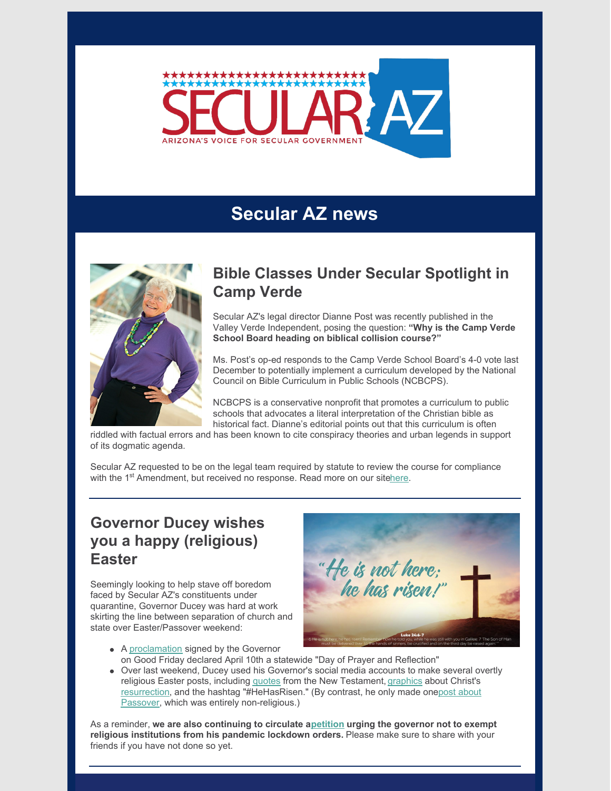

# **Secular AZ news**



#### **Bible Classes Under Secular Spotlight in Camp Verde**

Secular AZ's legal director Dianne Post was recently published in the Valley Verde Independent, posing the question: **"Why is the Camp Verde School Board heading on biblical collision course?"**

Ms. Post's op-ed responds to the Camp Verde School Board's 4-0 vote last December to potentially implement a curriculum developed by the National Council on Bible Curriculum in Public Schools (NCBCPS).

NCBCPS is a conservative nonprofit that promotes a curriculum to public schools that advocates a literal interpretation of the Christian bible as historical fact. Dianne's editorial points out that this curriculum is often

riddled with factual errors and has been known to cite conspiracy theories and urban legends in support of its dogmatic agenda.

Secular AZ requested to be on the legal team required by statute to review the course for compliance with the 1<sup>st</sup> Amendment, but received no response. Read more on our sit[ehere](https://secularaz.org/legal-activity/why-is-the-camp-verde-school-board-heading-on-biblical-collision-course-op-ed-by-dianne-post/?fbclid=IwAR0p4pSkPyvaM986nBs0yoWr55OC7jd_glnaQOzRM6R8RXq4AIQ2w_3yCGU).

#### **Governor Ducey wishes you a happy (religious) Easter**

Seemingly looking to help stave off boredom faced by Secular AZ's constituents under quarantine, Governor Ducey was hard at work skirting the line between separation of church and state over Easter/Passover weekend:



- A [proclamation](https://enewsaz.com/news/arizona-news/item/9557-governor-ducey-proclaims-april-10th-a-day-of-prayer-and-reflection.html) signed by the Governor on Good Friday declared April 10th a statewide "Day of Prayer and Reflection"
- Over last weekend, Ducey used his Governor's social media accounts to make several overtly religious Easter posts, including [quotes](https://www.facebook.com/dougducey/photos/a.407194629402448/2735398396582048/?type=3&theater) from the New Testament, [graphics](https://www.facebook.com/dougducey/posts/2739692202819334) about Christ's [resurrection](https://www.facebook.com/dougducey/posts/2739688429486378), and the hashtag ["#HeHasRisen."](https://www.facebook.com/dougducey/photos/a.407194629402448/2732760190179202/?type=3&theater) (By contrast, he only made onepost about Passover, which was entirely non-religious.)

As a reminder, **we are also continuing to circulate [apetition](http://p2a.co/Q5hqBam) urging the governor not to exempt religious institutions from his pandemic lockdown orders.** Please make sure to share with your friends if you have not done so yet.